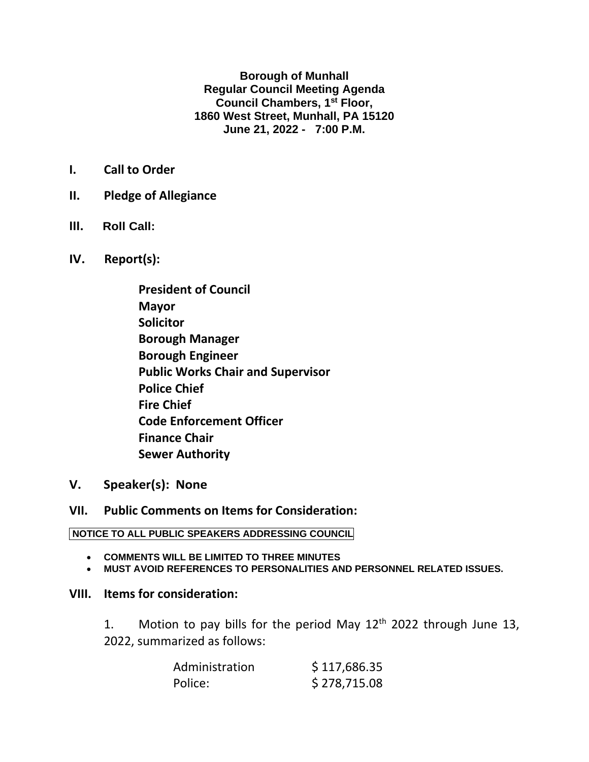**Borough of Munhall Regular Council Meeting Agenda Council Chambers, 1st Floor, 1860 West Street, Munhall, PA 15120 June 21, 2022 - 7:00 P.M.**

- **I. Call to Order**
- **II. Pledge of Allegiance**
- **III. Roll Call:**
- **IV. Report(s):**
	- **President of Council Mayor Solicitor Borough Manager Borough Engineer Public Works Chair and Supervisor Police Chief Fire Chief Code Enforcement Officer Finance Chair Sewer Authority**
- **V. Speaker(s): None**

## **VII. Public Comments on Items for Consideration:**

## **NOTICE TO ALL PUBLIC SPEAKERS ADDRESSING COUNCIL**

- **COMMENTS WILL BE LIMITED TO THREE MINUTES**
- **MUST AVOID REFERENCES TO PERSONALITIES AND PERSONNEL RELATED ISSUES.**

## **VIII. Items for consideration:**

1. Motion to pay bills for the period May  $12<sup>th</sup>$  2022 through June 13, 2022, summarized as follows:

| Administration | \$117,686.35 |
|----------------|--------------|
| Police:        | \$278,715.08 |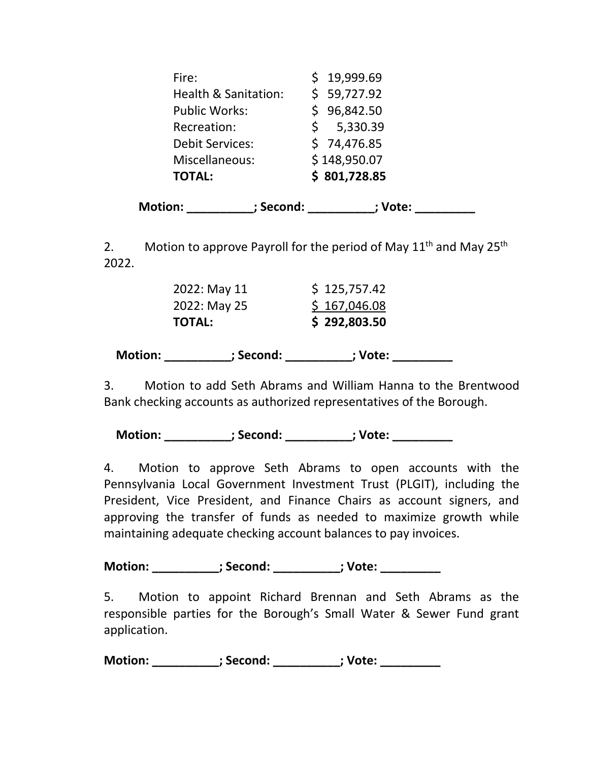| Fire:                  | \$19,999.69  |
|------------------------|--------------|
| Health & Sanitation:   | \$59,727.92  |
| <b>Public Works:</b>   | \$96,842.50  |
| Recreation:            | \$5,330.39   |
| <b>Debit Services:</b> | \$74,476.85  |
| Miscellaneous:         | \$148,950.07 |
| <b>TOTAL:</b>          | \$801,728.85 |
|                        |              |

**Motion: \_\_\_\_\_\_\_\_\_\_; Second: \_\_\_\_\_\_\_\_\_\_; Vote: \_\_\_\_\_\_\_\_\_**

2. Motion to approve Payroll for the period of May  $11<sup>th</sup>$  and May  $25<sup>th</sup>$ 2022.

| <b>Motion:</b> | ; Second:     | ; Vote:      |  |
|----------------|---------------|--------------|--|
|                | <b>TOTAL:</b> | \$292,803.50 |  |
|                | 2022: May 25  | \$167,046.08 |  |
|                | 2022: May 11  | \$125,757.42 |  |

3. Motion to add Seth Abrams and William Hanna to the Brentwood Bank checking accounts as authorized representatives of the Borough.

 **Motion: \_\_\_\_\_\_\_\_\_\_; Second: \_\_\_\_\_\_\_\_\_\_; Vote: \_\_\_\_\_\_\_\_\_**

4. Motion to approve Seth Abrams to open accounts with the Pennsylvania Local Government Investment Trust (PLGIT), including the President, Vice President, and Finance Chairs as account signers, and approving the transfer of funds as needed to maximize growth while maintaining adequate checking account balances to pay invoices.

**Motion:**  $\qquad \qquad$  ; Second:  $\qquad \qquad$  ; Vote:

5. Motion to appoint Richard Brennan and Seth Abrams as the responsible parties for the Borough's Small Water & Sewer Fund grant application.

**Motion:**  $\qquad \qquad ;$  **Second:**  $\qquad \qquad ;$  **Vote:**